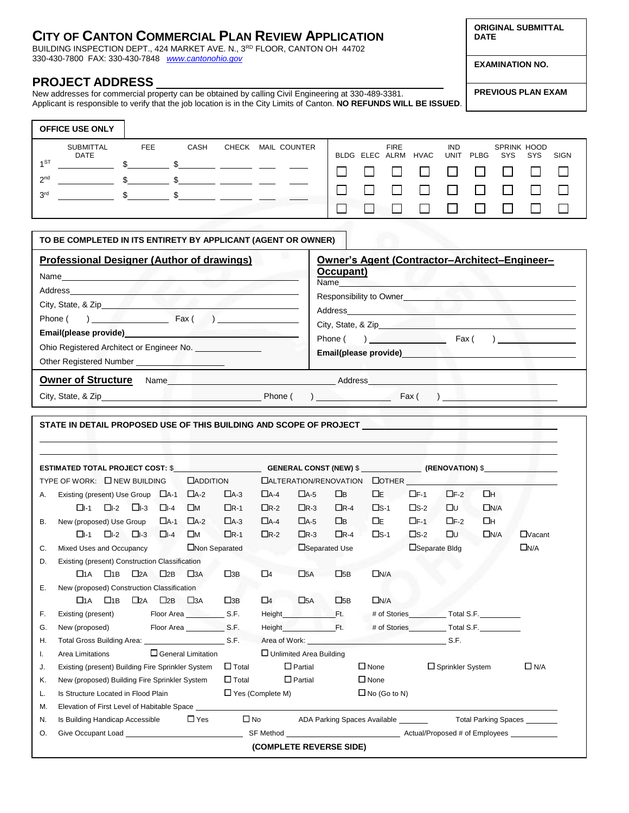## **CITY OF CANTON COMMERCIAL PLAN REVIEW APPLICATION**

BUILDING INSPECTION DEPT., 424 MARKET AVE. N., 3<sup>RD</sup> FLOOR, CANTON OH 44702 330-430-7800 FAX: 330-430-7848 *[www.cantonohio.gov](http://www.cantonohio.gov/)*

## **PROJECT ADDRESS**

New addresses for commercial property can be obtained by calling Civil Engineering at 330-489-3381. Applicant is responsible to verify that the job location is in the City Limits of Canton. **NO REFUNDS WILL BE ISSUED**.

| ng Civil Engineering at 330-489-3381. | <b>PREVIOUS PLAN EXAM</b> |
|---------------------------------------|---------------------------|

|                                    | <b>OFFICE USE ONLY</b>          |            |      |       |  |                     |  |             |                     |                           |      |                           |     |      |
|------------------------------------|---------------------------------|------------|------|-------|--|---------------------|--|-------------|---------------------|---------------------------|------|---------------------------|-----|------|
|                                    | <b>SUBMITTAL</b><br><b>DATE</b> | <b>FEE</b> | CASH | CHECK |  | <b>MAIL COUNTER</b> |  | <b>FIRE</b> | BLDG ELEC ALRM HVAC | <b>IND</b><br><b>UNIT</b> | PLBG | <b>SPRINK HOOD</b><br>SYS | SYS | SIGN |
| 1 <sub>ST</sub><br>2 <sup>nd</sup> |                                 |            |      |       |  |                     |  |             |                     |                           |      |                           |     |      |
| 3 <sup>rd</sup>                    |                                 |            |      |       |  |                     |  |             |                     |                           |      |                           |     |      |
|                                    |                                 |            |      |       |  |                     |  |             |                     |                           |      |                           |     |      |

## **TO BE COMPLETED IN ITS ENTIRETY BY APPLICANT (AGENT OR OWNER)**

| <b>Professional Designer (Author of drawings)</b><br>Name experience and a series of the series of the series of the series of the series of the series of the series of the series of the series of the series of the series of the series of the series of the series of the seri<br>City, State, & Zip<br>Phone $( )$ Fax $( )$<br>Ohio Registered Architect or Engineer No. _______________ | Owner's Agent (Contractor-Architect-Engineer-<br>Occupant)<br>Name<br>Responsibility to Owner<br>Phone $( )$ Fax $( )$<br>Email(please provide)<br><u>Email</u> (please provide) |
|-------------------------------------------------------------------------------------------------------------------------------------------------------------------------------------------------------------------------------------------------------------------------------------------------------------------------------------------------------------------------------------------------|----------------------------------------------------------------------------------------------------------------------------------------------------------------------------------|
| <b>Owner of Structure</b>                                                                                                                                                                                                                                                                                                                                                                       | Address                                                                                                                                                                          |
| City, State, & Zip <b>Example 2</b> Phone (                                                                                                                                                                                                                                                                                                                                                     | $\overline{a}$<br>Fax (                                                                                                                                                          |

|           | TYPE OF WORK: INEW BUILDING                                                     |              |                                         |                                                                  | <b>CADDITION</b>         |                                                           |                |                         | DALTERATION/RENOVATION DOTHER                                                                                                                                                                                                  |                                                                                |               |                 |            |               |
|-----------|---------------------------------------------------------------------------------|--------------|-----------------------------------------|------------------------------------------------------------------|--------------------------|-----------------------------------------------------------|----------------|-------------------------|--------------------------------------------------------------------------------------------------------------------------------------------------------------------------------------------------------------------------------|--------------------------------------------------------------------------------|---------------|-----------------|------------|---------------|
| А.        | Existing (present) Use Group $\Box$ A-1                                         |              |                                         |                                                                  | $\Box$ A-2               | $\Box$ A-3                                                | $\Box$ A-4     | $\Box$ A-5              | $\square$                                                                                                                                                                                                                      | $\Box$ E                                                                       | $\square$ F-1 | $\Box$ F-2      | Πн         |               |
|           |                                                                                 |              | $\Box$ -1 $\Box$ -2 $\Box$ -3 $\Box$ -4 |                                                                  | $\square_M$              | $\Box$ R-1                                                | $\Box$ R-2     | $\Box$ R-3              | $\Box$ R-4                                                                                                                                                                                                                     | $\square$ S-1                                                                  | $\square$ s-2 | <b>D</b> u      | $\Box$ N/A |               |
| <b>B.</b> | New (proposed) Use Group $\Box$ A-1                                             |              |                                         |                                                                  | $\Box$ A-2               | $\Box$ A-3                                                | $\Box$ A-4     | $\Box$ A-5              | $\Box$ B                                                                                                                                                                                                                       | ΠЕ                                                                             | $\square$ F-1 | $\square$ F-2   | Πн         |               |
|           |                                                                                 |              | $\Box$ -1 $\Box$ -2 $\Box$ -3 $\Box$ -4 |                                                                  | Πм                       | $\Box$ R-1                                                | $\Box$ R-2     | $\Box$ R-3              | $\Box$ R-4                                                                                                                                                                                                                     | $\square$ s-1                                                                  | $\square$ s-2 | Ωυ              | $\Box$ N/A | $\Box$ Vacant |
| C.        | Non Separated<br>Mixed Uses and Occupancy                                       |              |                                         |                                                                  |                          | Separated Use                                             |                |                         | Separate Bldg                                                                                                                                                                                                                  |                                                                                |               | $\square_{N/A}$ |            |               |
| D.        | Existing (present) Construction Classification                                  |              |                                         |                                                                  |                          |                                                           |                |                         |                                                                                                                                                                                                                                |                                                                                |               |                 |            |               |
|           | $\Box$ 1A                                                                       | $\square$ 1B | $\square$ 2A $\square$ 2B               |                                                                  | $\square$ <sub>3</sub> A | $\square$ 3B                                              | $\Box$ 4       | $\square$ 5A            | $\square$ <sub>5B</sub>                                                                                                                                                                                                        | $\Box$ N/A                                                                     |               |                 |            |               |
| Е.        | New (proposed) Construction Classification                                      |              |                                         |                                                                  |                          |                                                           |                |                         |                                                                                                                                                                                                                                |                                                                                |               |                 |            |               |
|           |                                                                                 |              |                                         | $\square$ 1A $\square$ 1B $\square$ 2A $\square$ 2B $\square$ 3A |                          | $\square$ <sub>3B</sub>                                   | $\Box$ 4       | $\square$ <sub>5A</sub> | $\square$ <sub>5B</sub>                                                                                                                                                                                                        | $\Box$ N/A                                                                     |               |                 |            |               |
| F.        | Floor Area S.F.<br>Existing (present)                                           |              |                                         |                                                                  |                          |                                                           | Height Ft.     |                         |                                                                                                                                                                                                                                | # of Stories ___________ Total S.F. _________                                  |               |                 |            |               |
| G.        | New (proposed) Floor Area S.F.                                                  |              |                                         |                                                                  |                          |                                                           |                | Height Ft.              |                                                                                                                                                                                                                                | # of Stories Total S.F.                                                        |               |                 |            |               |
| Η.        | Total Gross Building Area: S.F.                                                 |              |                                         |                                                                  |                          |                                                           |                |                         | Area of Work: S.F.                                                                                                                                                                                                             |                                                                                |               |                 |            |               |
| I.        | $\Box$ General Limitation<br>$\Box$ Unlimited Area Building<br>Area Limitations |              |                                         |                                                                  |                          |                                                           |                |                         |                                                                                                                                                                                                                                |                                                                                |               |                 |            |               |
| J.        |                                                                                 |              |                                         |                                                                  |                          | Existing (present) Building Fire Sprinkler System □ Total | $\Box$ Partial |                         |                                                                                                                                                                                                                                | $\square$ None<br>$\Box$ Sprinkler System                                      |               |                 |            | $\Box$ N/A    |
| Κ.        |                                                                                 |              |                                         |                                                                  |                          | New (proposed) Building Fire Sprinkler System □ Total     |                | $\square$ Partial       | $\Box$ None                                                                                                                                                                                                                    |                                                                                |               |                 |            |               |
| L.        | Is Structure Located in Flood Plain $\Box$ Yes (Complete M)                     |              |                                         |                                                                  |                          |                                                           |                |                         |                                                                                                                                                                                                                                | $\Box$ No (Go to N)                                                            |               |                 |            |               |
| М.        |                                                                                 |              |                                         |                                                                  |                          |                                                           |                |                         | Elevation of First Level of Habitable Space Level and the contract of the contract of the contract of the contract of the contract of the contract of the contract of the contract of the contract of the contract of the cont |                                                                                |               |                 |            |               |
| N.        | Is Building Handicap Accessible $\Box$ Yes                                      |              |                                         |                                                                  |                          |                                                           |                |                         |                                                                                                                                                                                                                                | □ No ADA Parking Spaces Available __________    Total Parking Spaces _________ |               |                 |            |               |
| О.        |                                                                                 |              |                                         |                                                                  |                          |                                                           |                |                         |                                                                                                                                                                                                                                |                                                                                |               |                 |            |               |

**ORIGINAL SUBMITTAL DATE**

**EXAMINATION NO.**